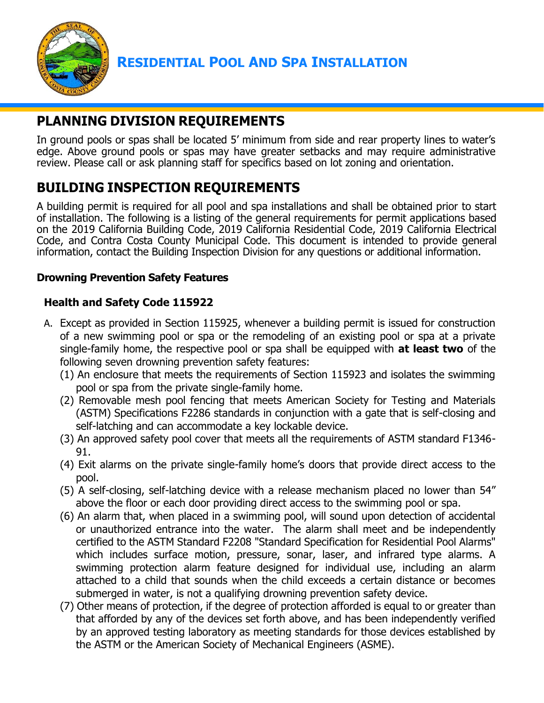

# **PLANNING DIVISION REQUIREMENTS**

In ground pools or spas shall be located 5' minimum from side and rear property lines to water's edge. Above ground pools or spas may have greater setbacks and may require administrative review. Please call or ask planning staff for specifics based on lot zoning and orientation.

# **BUILDING INSPECTION REQUIREMENTS**

A building permit is required for all pool and spa installations and shall be obtained prior to start of installation. The following is a listing of the general requirements for permit applications based on the 2019 California Building Code, 2019 California Residential Code, 2019 California Electrical Code, and Contra Costa County Municipal Code. This document is intended to provide general information, contact the Building Inspection Division for any questions or additional information.

### **Drowning Prevention Safety Features**

## **Health and Safety Code 115922**

- A. Except as provided in Section 115925, whenever a building permit is issued for construction of a new swimming pool or spa or the remodeling of an existing pool or spa at a private single-family home, the respective pool or spa shall be equipped with **at least two** of the following seven drowning prevention safety features:
	- (1) An enclosure that meets the requirements of Section 115923 and isolates the swimming pool or spa from the private single-family home.
	- (2) Removable mesh pool fencing that meets American Society for Testing and Materials (ASTM) Specifications F2286 standards in conjunction with a gate that is self-closing and self-latching and can accommodate a key lockable device.
	- (3) An approved safety pool cover that meets all the requirements of ASTM standard F1346- 91.
	- (4) Exit alarms on the private single-family home's doors that provide direct access to the pool.
	- (5) A self-closing, self-latching device with a release mechanism placed no lower than 54" above the floor or each door providing direct access to the swimming pool or spa.
	- (6) An alarm that, when placed in a swimming pool, will sound upon detection of accidental or unauthorized entrance into the water. The alarm shall meet and be independently certified to the ASTM Standard F2208 "Standard Specification for Residential Pool Alarms" which includes surface motion, pressure, sonar, laser, and infrared type alarms. A swimming protection alarm feature designed for individual use, including an alarm attached to a child that sounds when the child exceeds a certain distance or becomes submerged in water, is not a qualifying drowning prevention safety device.
	- (7) Other means of protection, if the degree of protection afforded is equal to or greater than that afforded by any of the devices set forth above, and has been independently verified by an approved testing laboratory as meeting standards for those devices established by the ASTM or the American Society of Mechanical Engineers (ASME).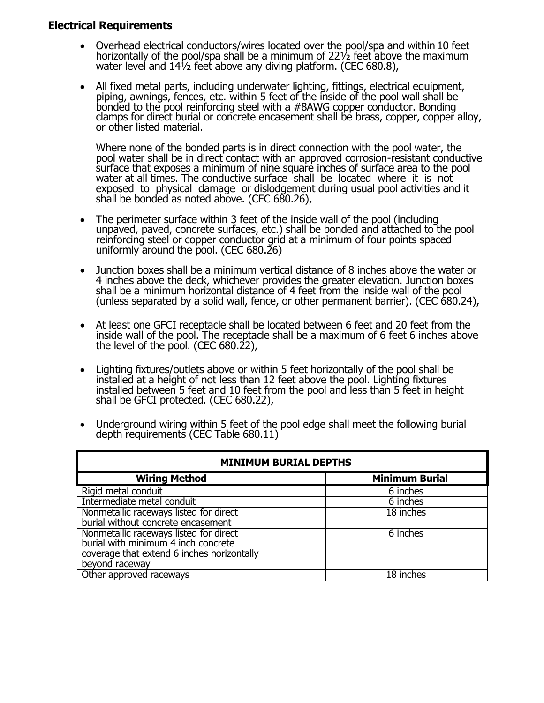### **Electrical Requirements**

- Overhead electrical conductors/wires located over the pool/spa and within 10 feet horizontally of the pool/spa shall be a minimum of 22½ feet above the maximum water level and 14½ feet above any diving platform. (CEC 680.8),
- All fixed metal parts, including underwater lighting, fittings, electrical equipment, piping, awnings, fences, etc. within 5 feet of the inside of the pool wall shall be bonded to the pool reinforcing steel with a #8AWG copper conductor. Bonding clamps for direct burial or concrete encasement shall be brass, copper, copper alloy, or other listed material.

Where none of the bonded parts is in direct connection with the pool water, the pool water shall be in direct contact with an approved corrosion-resistant conductive surface that exposes a minimum of nine square inches of surface area to the pool water at all times. The conductive surface shall be located where it is not exposed to physical damage or dislodgement during usual pool activities and it shall be bonded as noted above. (CEC 680.26),

- The perimeter surface within 3 feet of the inside wall of the pool (including unpaved, paved, concrete surfaces, etc.) shall be bonded and attached to the pool reinforcing steel or copper conductor grid at a minimum of four points spaced uniformly around the pool. (CEC 680.26)
- Junction boxes shall be a minimum vertical distance of 8 inches above the water or 4 inches above the deck, whichever provides the greater elevation. Junction boxes shall be a minimum horizontal distance of 4 feet from the inside wall of the pool (unless separated by a solid wall, fence, or other permanent barrier). (CEC 680.24),
- At least one GFCI receptacle shall be located between 6 feet and 20 feet from the inside wall of the pool. The receptacle shall be a maximum of 6 feet 6 inches above the level of the pool. (CEC 680.22),
- Lighting fixtures/outlets above or within 5 feet horizontally of the pool shall be installed at a height of not less than 12 feet above the pool. Lighting fixtures installed between 5 feet and 10 feet from the pool and less than 5 feet in height shall be GFCI protected. (CEC 680.22),
- Underground wiring within 5 feet of the pool edge shall meet the following burial depth requirements (CEC Table 680.11)

| <b>MINIMUM BURIAL DEPTHS</b>                                                 |                       |
|------------------------------------------------------------------------------|-----------------------|
| <b>Wiring Method</b>                                                         | <b>Minimum Burial</b> |
| Rigid metal conduit                                                          | 6 inches              |
| Intermediate metal conduit                                                   | 6 inches              |
| Nonmetallic raceways listed for direct<br>burial without concrete encasement | 18 inches             |
|                                                                              |                       |
| Nonmetallic raceways listed for direct                                       | 6 inches              |
| burial with minimum 4 inch concrete                                          |                       |
| coverage that extend 6 inches horizontally                                   |                       |
| beyond raceway                                                               |                       |
| Other approved raceways                                                      | 18 inches             |